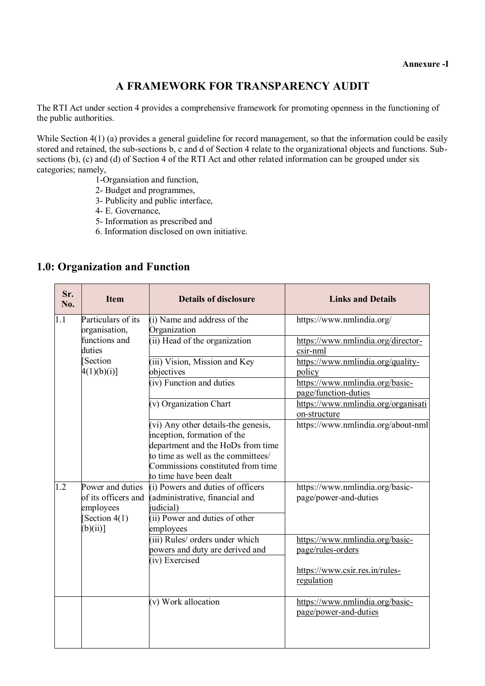#### **A FRAMEWORK FOR TRANSPARENCY AUDIT**

The RTI Act under section 4 provides a comprehensive framework for promoting openness in the functioning of the public authorities.

While Section 4(1) (a) provides a general guideline for record management, so that the information could be easily stored and retained, the sub-sections b, c and d of Section 4 relate to the organizational objects and functions. Subsections (b), (c) and (d) of Section 4 of the RTI Act and other related information can be grouped under six categories; namely,

- 1-Organsiation and function,
- 2- Budget and programmes,
- 3- Publicity and public interface,
- 4- E. Governance,
- 5- Information as prescribed and
- 6. Information disclosed on own initiative.

#### **1.0: Organization and Function**

| Sr.<br>No. | <b>Item</b>                    | <b>Details of disclosure</b>                                       | <b>Links and Details</b>                                 |
|------------|--------------------------------|--------------------------------------------------------------------|----------------------------------------------------------|
| 1.1        | Particulars of its             | (i) Name and address of the                                        | https://www.nmlindia.org/                                |
|            | organisation,<br>functions and | Organization<br>(ii) Head of the organization                      | https://www.nmlindia.org/director-                       |
|            | duties                         |                                                                    | csir-nml                                                 |
|            | Section                        | (iii) Vision, Mission and Key                                      | https://www.nmlindia.org/quality-                        |
|            | 4(1)(b)(i)                     | objectives                                                         | policy                                                   |
|            |                                | (iv) Function and duties                                           | https://www.nmlindia.org/basic-<br>page/function-duties  |
|            |                                | (v) Organization Chart                                             | https://www.nmlindia.org/organisati<br>on-structure      |
|            |                                | (vi) Any other details-the genesis,<br>inception, formation of the | https://www.nmlindia.org/about-nml                       |
|            |                                | department and the HoDs from time                                  |                                                          |
|            |                                | to time as well as the committees/                                 |                                                          |
|            |                                | Commissions constituted from time<br>to time have been dealt       |                                                          |
| 1.2        | Power and duties               | (i) Powers and duties of officers                                  | https://www.nmlindia.org/basic-                          |
|            | of its officers and            | (administrative, financial and                                     | page/power-and-duties                                    |
|            | employees                      | judicial)                                                          |                                                          |
|            | [Section $4(1)$ ]              | (ii) Power and duties of other                                     |                                                          |
|            | (b)(ii)                        | employees                                                          |                                                          |
|            |                                | (iii) Rules/ orders under which                                    | https://www.nmlindia.org/basic-                          |
|            |                                | powers and duty are derived and<br>(iv) Exercised                  | page/rules-orders                                        |
|            |                                |                                                                    | https://www.csir.res.in/rules-                           |
|            |                                |                                                                    | regulation                                               |
|            |                                | (v) Work allocation                                                | https://www.nmlindia.org/basic-<br>page/power-and-duties |
|            |                                |                                                                    |                                                          |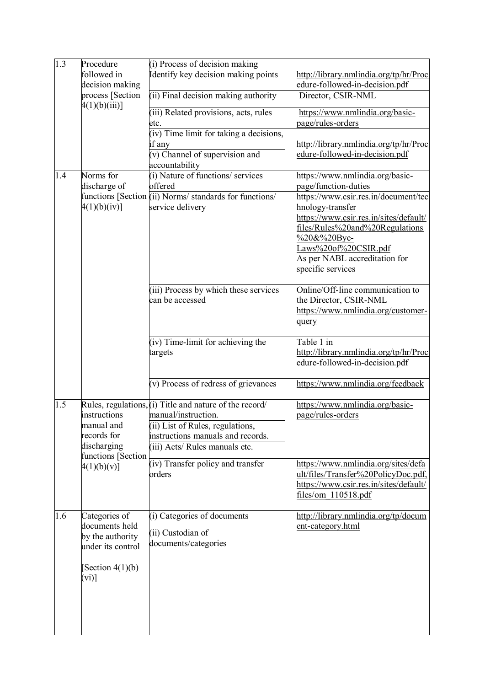| 1.3 | Procedure                            | (i) Process of decision making                          |                                                                               |
|-----|--------------------------------------|---------------------------------------------------------|-------------------------------------------------------------------------------|
|     | followed in                          | Identify key decision making points                     | http://library.nmlindia.org/tp/hr/Proc                                        |
|     | decision making                      |                                                         | edure-followed-in-decision.pdf                                                |
|     | process [Section<br>$4(1)(b)(iii)$ ] | (ii) Final decision making authority                    | Director, CSIR-NML                                                            |
|     |                                      | (iii) Related provisions, acts, rules<br>etc.           | https://www.nmlindia.org/basic-<br>page/rules-orders                          |
|     |                                      | (iv) Time limit for taking a decisions,                 |                                                                               |
|     |                                      | if any                                                  | http://library.nmlindia.org/tp/hr/Proc                                        |
|     |                                      | (v) Channel of supervision and                          | edure-followed-in-decision.pdf                                                |
|     |                                      | accountability                                          |                                                                               |
| 1.4 | Norms for                            | (i) Nature of functions/ services                       | https://www.nmlindia.org/basic-                                               |
|     | discharge of                         | offered                                                 | page/function-duties                                                          |
|     |                                      | functions [Section (ii) Norms/ standards for functions/ | https://www.csir.res.in/document/tec                                          |
|     | 4(1)(b)(iv)]                         | service delivery                                        | hnology-transfer                                                              |
|     |                                      |                                                         | https://www.csir.res.in/sites/default/<br>files/Rules%20and%20Regulations     |
|     |                                      |                                                         | %20&%20Bye-                                                                   |
|     |                                      |                                                         | Laws%20of%20CSIR.pdf                                                          |
|     |                                      |                                                         | As per NABL accreditation for                                                 |
|     |                                      |                                                         | specific services                                                             |
|     |                                      | (iii) Process by which these services                   | Online/Off-line communication to                                              |
|     |                                      | can be accessed                                         | the Director, CSIR-NML                                                        |
|     |                                      |                                                         | https://www.nmlindia.org/customer-                                            |
|     |                                      |                                                         | query                                                                         |
|     |                                      | (iv) Time-limit for achieving the                       | Table 1 in                                                                    |
|     |                                      | targets                                                 | http://library.nmlindia.org/tp/hr/Proc                                        |
|     |                                      |                                                         | edure-followed-in-decision.pdf                                                |
|     |                                      | (v) Process of redress of grievances                    | https://www.nmlindia.org/feedback                                             |
| 1.5 |                                      | Rules, regulations, (i) Title and nature of the record/ | https://www.nmlindia.org/basic-                                               |
|     | instructions<br>manual and           | manual/instruction.<br>(ii) List of Rules, regulations, | page/rules-orders                                                             |
|     | records for                          | instructions manuals and records.                       |                                                                               |
|     | discharging                          | (iii) Acts/ Rules manuals etc.                          |                                                                               |
|     | functions [Section                   |                                                         |                                                                               |
|     | 4(1)(b)(v)                           | (iv) Transfer policy and transfer                       | https://www.nmlindia.org/sites/defa                                           |
|     |                                      | orders                                                  | ult/files/Transfer%20PolicyDoc.pdf,<br>https://www.csir.res.in/sites/default/ |
|     |                                      |                                                         | files/om 110518.pdf                                                           |
|     |                                      |                                                         |                                                                               |
| 1.6 | Categories of                        | (i) Categories of documents                             | http://library.nmlindia.org/tp/docum                                          |
|     | documents held<br>by the authority   | (ii) Custodian of                                       | ent-category.html                                                             |
|     | under its control                    | documents/categories                                    |                                                                               |
|     |                                      |                                                         |                                                                               |
|     | [Section $4(1)(b)$ ]                 |                                                         |                                                                               |
|     | $(vi)$ ]                             |                                                         |                                                                               |
|     |                                      |                                                         |                                                                               |
|     |                                      |                                                         |                                                                               |
|     |                                      |                                                         |                                                                               |
|     |                                      |                                                         |                                                                               |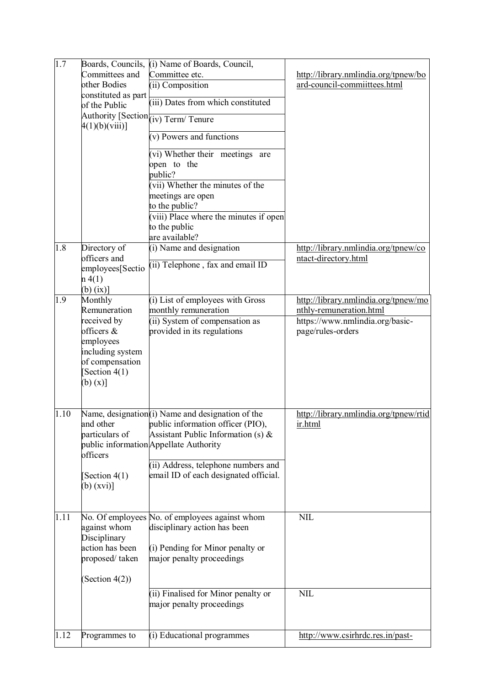| 1.7  | Committees and<br>other Bodies<br>constituted as part<br>of the Public                                                                       | Boards, Councils, (i) Name of Boards, Council,<br>Committee etc.<br>(ii) Composition<br>(iii) Dates from which constituted                                                                                                                                         | http://library.nmlindia.org/tpnew/bo<br>ard-council-commiittees.html                                                    |
|------|----------------------------------------------------------------------------------------------------------------------------------------------|--------------------------------------------------------------------------------------------------------------------------------------------------------------------------------------------------------------------------------------------------------------------|-------------------------------------------------------------------------------------------------------------------------|
|      | 4(1)(b)(viii)                                                                                                                                | Authority [Section (iv) Term/ Tenure<br>(v) Powers and functions                                                                                                                                                                                                   |                                                                                                                         |
|      |                                                                                                                                              | (vi) Whether their meetings are<br>open to the<br>public?                                                                                                                                                                                                          |                                                                                                                         |
|      |                                                                                                                                              | (vii) Whether the minutes of the<br>meetings are open<br>to the public?<br>(viii) Place where the minutes if open<br>to the public                                                                                                                                 |                                                                                                                         |
| 1.8  | Directory of<br>officers and<br>employees[Sectio<br>$n\ 4(1)$<br>$(b)$ (ix)]                                                                 | are available?<br>(i) Name and designation<br>(ii) Telephone, fax and email ID                                                                                                                                                                                     | http://library.nmlindia.org/tpnew/co<br>ntact-directory.html                                                            |
| 1.9  | Monthly<br>Remuneration<br>received by<br>officers &<br>employees<br>including system<br>of compensation<br>[Section $4(1)$<br>$(b)$ $(x)$ ] | (i) List of employees with Gross<br>monthly remuneration<br>(ii) System of compensation as<br>provided in its regulations                                                                                                                                          | http://library.nmlindia.org/tpnew/mo<br>nthly-remuneration.html<br>https://www.nmlindia.org/basic-<br>page/rules-orders |
| 1.10 | particulars of<br>officers<br>[Section $4(1)$ ]<br>$(b)$ (xvi)]                                                                              | Name, designation(i) Name and designation of the<br>and other public information officer (PIO),<br>Assistant Public Information (s) $\&$<br>public information Appellate Authority<br>(ii) Address, telephone numbers and<br>email ID of each designated official. | http://library.nmlindia.org/tpnew/rtid<br>ir.html                                                                       |
| 1.11 | against whom<br>Disciplinary<br>action has been<br>proposed/taken<br>(Section $4(2)$ )                                                       | No. Of employees No. of employees against whom<br>disciplinary action has been<br>(i) Pending for Minor penalty or<br>major penalty proceedings                                                                                                                    | <b>NIL</b>                                                                                                              |
|      |                                                                                                                                              | (ii) Finalised for Minor penalty or<br>major penalty proceedings                                                                                                                                                                                                   | <b>NIL</b>                                                                                                              |
| 1.12 | Programmes to                                                                                                                                | (i) Educational programmes                                                                                                                                                                                                                                         | http://www.csirhrdc.res.in/past-                                                                                        |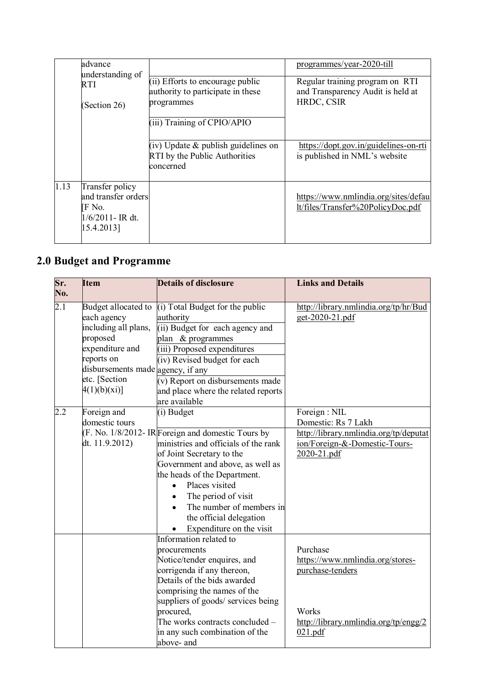|      | advance<br>understanding of<br>RTI<br>(Section 26)                                    |                                                                                        | programmes/year-2020-till                                                 |
|------|---------------------------------------------------------------------------------------|----------------------------------------------------------------------------------------|---------------------------------------------------------------------------|
|      |                                                                                       | (ii) Efforts to encourage public<br>authority to participate in these                  | Regular training program on RTI<br>and Transparency Audit is held at      |
|      |                                                                                       | programmes                                                                             | HRDC, CSIR                                                                |
|      |                                                                                       | (iii) Training of CPIO/APIO                                                            |                                                                           |
|      |                                                                                       | $(iv)$ Update $\&$ publish guidelines on<br>RTI by the Public Authorities<br>concerned | https://dopt.gov.in/guidelines-on-rti<br>is published in NML's website    |
| 1.13 | Transfer policy<br>and transfer orders<br>IF No.<br>$1/6/2011$ - IR dt.<br>15.4.2013] |                                                                                        | https://www.nmlindia.org/sites/defau<br>lt/files/Transfer%20PolicyDoc.pdf |

## **2.0 Budget and Programme**

| Sr.              | <b>Item</b>                       | <b>Details of disclosure</b>                      | <b>Links and Details</b>               |
|------------------|-----------------------------------|---------------------------------------------------|----------------------------------------|
| No.              |                                   |                                                   |                                        |
| $\overline{2.1}$ | Budget allocated to               | (i) Total Budget for the public                   | http://library.nmlindia.org/tp/hr/Bud  |
|                  | each agency                       | authority                                         | get-2020-21.pdf                        |
|                  | including all plans,              | (ii) Budget for each agency and                   |                                        |
|                  | proposed                          | plan & programmes                                 |                                        |
|                  | expenditure and                   | (iii) Proposed expenditures                       |                                        |
|                  | reports on                        | (iv) Revised budget for each                      |                                        |
|                  | disbursements made agency, if any |                                                   |                                        |
|                  | etc. [Section                     | (v) Report on disbursements made                  |                                        |
|                  | 4(1)(b)(xi)                       | and place where the related reports               |                                        |
|                  |                                   | are available                                     |                                        |
| 2.2              | Foreign and                       | (i) Budget                                        | Foreign : NIL                          |
|                  | domestic tours                    |                                                   | Domestic: Rs 7 Lakh                    |
|                  |                                   | (F. No. 1/8/2012-IR Foreign and domestic Tours by | http://library.nmlindia.org/tp/deputat |
|                  | dt. $11.9.2012$ )                 | ministries and officials of the rank              | ion/Foreign-&-Domestic-Tours-          |
|                  |                                   | of Joint Secretary to the                         | 2020-21.pdf                            |
|                  |                                   | Government and above, as well as                  |                                        |
|                  |                                   | the heads of the Department.                      |                                        |
|                  |                                   | Places visited<br>$\bullet$                       |                                        |
|                  |                                   | The period of visit<br>$\bullet$                  |                                        |
|                  |                                   | The number of members in                          |                                        |
|                  |                                   | the official delegation                           |                                        |
|                  |                                   | Expenditure on the visit<br>$\bullet$             |                                        |
|                  |                                   | Information related to                            |                                        |
|                  |                                   | procurements                                      | Purchase                               |
|                  |                                   | Notice/tender enquires, and                       | https://www.nmlindia.org/stores-       |
|                  |                                   | corrigenda if any thereon,                        | purchase-tenders                       |
|                  |                                   | Details of the bids awarded                       |                                        |
|                  |                                   | comprising the names of the                       |                                        |
|                  |                                   | suppliers of goods/ services being                |                                        |
|                  |                                   | procured,                                         | Works                                  |
|                  |                                   | The works contracts concluded –                   | http://library.nmlindia.org/tp/engg/2  |
|                  |                                   | in any such combination of the                    | 021.pdf                                |
|                  |                                   | above- and                                        |                                        |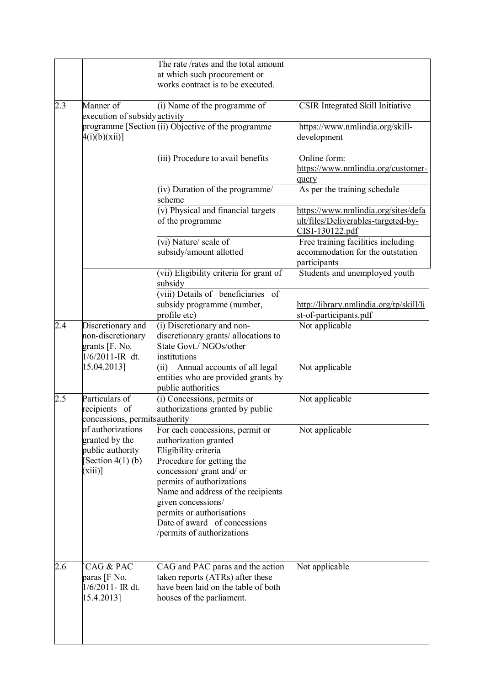|     |                                                                                             | The rate /rates and the total amount<br>at which such procurement or<br>works contract is to be executed.                                                                                                                                                                                                                     |                                                                                               |
|-----|---------------------------------------------------------------------------------------------|-------------------------------------------------------------------------------------------------------------------------------------------------------------------------------------------------------------------------------------------------------------------------------------------------------------------------------|-----------------------------------------------------------------------------------------------|
| 2.3 | Manner of<br>execution of subsidyactivity                                                   | (i) Name of the programme of                                                                                                                                                                                                                                                                                                  | CSIR Integrated Skill Initiative                                                              |
|     | $4(i)(b)(xii)$ ]                                                                            | programme [Section (ii) Objective of the programme                                                                                                                                                                                                                                                                            | https://www.nmlindia.org/skill-<br>development                                                |
|     |                                                                                             | (iii) Procedure to avail benefits                                                                                                                                                                                                                                                                                             | Online form:<br>https://www.nmlindia.org/customer-<br>query                                   |
|     |                                                                                             | (iv) Duration of the programme/<br>scheme                                                                                                                                                                                                                                                                                     | As per the training schedule                                                                  |
|     |                                                                                             | (v) Physical and financial targets<br>of the programme                                                                                                                                                                                                                                                                        | https://www.nmlindia.org/sites/defa<br>ult/files/Deliverables-targeted-by-<br>CISI-130122.pdf |
|     |                                                                                             | (vi) Nature/ scale of<br>subsidy/amount allotted                                                                                                                                                                                                                                                                              | Free training facilities including<br>accommodation for the outstation<br>participants        |
|     |                                                                                             | (vii) Eligibility criteria for grant of<br>subsidy                                                                                                                                                                                                                                                                            | Students and unemployed youth                                                                 |
|     |                                                                                             | (viii) Details of beneficiaries<br>of<br>subsidy programme (number,<br>profile etc)                                                                                                                                                                                                                                           | http://library.nmlindia.org/tp/skill/li<br>st-of-participants.pdf                             |
| 2.4 | Discretionary and<br>non-discretionary<br>grants [F. No.<br>1/6/2011-IR dt.                 | (i) Discretionary and non-<br>discretionary grants/ allocations to<br>State Govt./ NGOs/other<br>institutions                                                                                                                                                                                                                 | Not applicable                                                                                |
|     | 15.04.2013]                                                                                 | Annual accounts of all legal<br>(ii)<br>entities who are provided grants by<br>public authorities                                                                                                                                                                                                                             | Not applicable                                                                                |
| 2.5 | Particulars of<br>recipients of<br>concessions, permits authority                           | (i) Concessions, permits or<br>authorizations granted by public                                                                                                                                                                                                                                                               | Not applicable                                                                                |
|     | of authorizations<br>granted by the<br>public authority<br>Section $4(1)$ (b)<br>$(xiii)$ ] | For each concessions, permit or<br>authorization granted<br>Eligibility criteria<br>Procedure for getting the<br>concession/ grant and/ or<br>permits of authorizations<br>Name and address of the recipients<br>given concessions/<br>permits or authorisations<br>Date of award of concessions<br>permits of authorizations | Not applicable                                                                                |
| 2.6 | CAG & PAC<br>paras [F No.<br>$1/6/2011$ - IR dt.<br>15.4.2013]                              | CAG and PAC paras and the action<br>taken reports (ATRs) after these<br>have been laid on the table of both<br>houses of the parliament.                                                                                                                                                                                      | Not applicable                                                                                |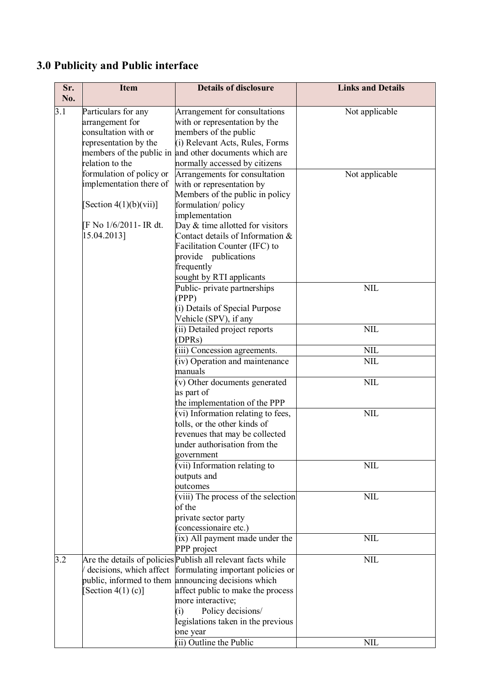## **3.0 Publicity and Public interface**

| Sr.<br>No. | <b>Item</b>                                                                                      | <b>Details of disclosure</b>                                                                                                                                                                                                                                                                     | <b>Links and Details</b> |
|------------|--------------------------------------------------------------------------------------------------|--------------------------------------------------------------------------------------------------------------------------------------------------------------------------------------------------------------------------------------------------------------------------------------------------|--------------------------|
| 3.1        | Particulars for any<br>arrangement for<br>consultation with or<br>representation by the          | Arrangement for consultations<br>with or representation by the<br>members of the public<br>(i) Relevant Acts, Rules, Forms<br>members of the public in and other documents which are                                                                                                             | Not applicable           |
|            | relation to the<br>formulation of policy or<br>implementation there of<br>[Section 4(1)(b)(vii)] | normally accessed by citizens<br>Arrangements for consultation<br>with or representation by<br>Members of the public in policy<br>formulation/policy<br>implementation                                                                                                                           | Not applicable           |
|            | [F No 1/6/2011- IR dt.<br>15.04.2013]                                                            | Day $&$ time allotted for visitors<br>Contact details of Information &<br>Facilitation Counter (IFC) to<br>provide publications<br>frequently<br>sought by RTI applicants                                                                                                                        |                          |
|            |                                                                                                  | Public- private partnerships<br>(PPP)<br>(i) Details of Special Purpose<br>Vehicle (SPV), if any                                                                                                                                                                                                 | <b>NIL</b>               |
|            |                                                                                                  | (ii) Detailed project reports<br>(DPRs)                                                                                                                                                                                                                                                          | <b>NIL</b>               |
|            |                                                                                                  | (iii) Concession agreements.                                                                                                                                                                                                                                                                     | <b>NIL</b>               |
|            |                                                                                                  | (iv) Operation and maintenance<br>manuals                                                                                                                                                                                                                                                        | <b>NIL</b>               |
|            |                                                                                                  | (v) Other documents generated<br>as part of<br>the implementation of the PPP                                                                                                                                                                                                                     | <b>NIL</b>               |
|            |                                                                                                  | (vi) Information relating to fees,<br>tolls, or the other kinds of<br>revenues that may be collected<br>under authorisation from the                                                                                                                                                             | <b>NIL</b>               |
|            |                                                                                                  | government<br>(vii) Information relating to<br>outputs and<br>outcomes                                                                                                                                                                                                                           | <b>NIL</b>               |
|            |                                                                                                  | (viii) The process of the selection<br>of the<br>private sector party<br>(concessionaire etc.)                                                                                                                                                                                                   | <b>NIL</b>               |
|            |                                                                                                  | (ix) All payment made under the<br>PPP project                                                                                                                                                                                                                                                   | <b>NIL</b>               |
| 3.2        | decisions, which affect<br>[Section 4(1) (c)]                                                    | Are the details of policies Publish all relevant facts while<br>formulating important policies or<br>public, informed to them announcing decisions which<br>affect public to make the process<br>more interactive;<br>Policy decisions/<br>(i)<br>legislations taken in the previous<br>one year | $\text{NIL}$             |
|            |                                                                                                  | (ii) Outline the Public                                                                                                                                                                                                                                                                          | <b>NIL</b>               |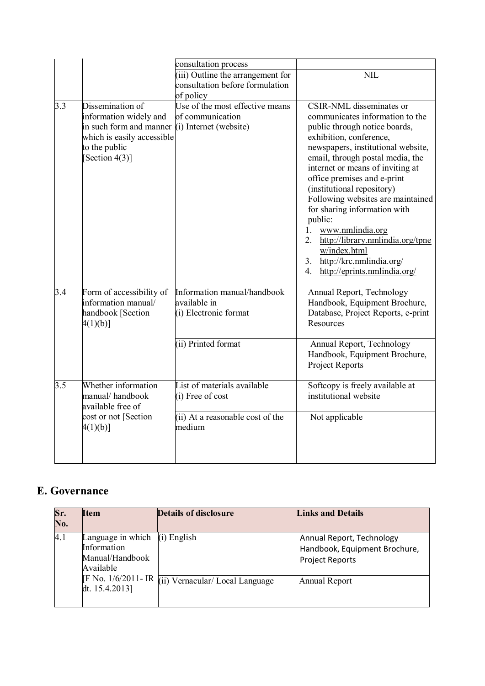|     |                                                                                                                                                                 | consultation process                                                                          |                                                                                                                                                                                                                                                                                                                                                                                                                                                                                                                                                       |
|-----|-----------------------------------------------------------------------------------------------------------------------------------------------------------------|-----------------------------------------------------------------------------------------------|-------------------------------------------------------------------------------------------------------------------------------------------------------------------------------------------------------------------------------------------------------------------------------------------------------------------------------------------------------------------------------------------------------------------------------------------------------------------------------------------------------------------------------------------------------|
|     |                                                                                                                                                                 | (iii) Outline the arrangement for<br>consultation before formulation<br>of policy             | <b>NIL</b>                                                                                                                                                                                                                                                                                                                                                                                                                                                                                                                                            |
| 3.3 | Dissemination of<br>information widely and<br>in such form and manner $(i)$ Internet (website)<br>which is easily accessible<br>to the public<br>[Section 4(3)] | Use of the most effective means<br>of communication                                           | <b>CSIR-NML</b> disseminates or<br>communicates information to the<br>public through notice boards,<br>exhibition, conference,<br>newspapers, institutional website,<br>email, through postal media, the<br>internet or means of inviting at<br>office premises and e-print<br>(institutional repository)<br>Following websites are maintained<br>for sharing information with<br>public:<br>1.<br>www.nmlindia.org<br>2.<br>http://library.nmlindia.org/tpne<br>w/index.html<br>http://krc.nmlindia.org/<br>3.<br>http://eprints.nmlindia.org/<br>4. |
| 3.4 | Form of accessibility of<br>information manual/<br>handbook [Section<br>$4(1)(b)$ ]                                                                             | Information manual/handbook<br>available in<br>(i) Electronic format                          | Annual Report, Technology<br>Handbook, Equipment Brochure,<br>Database, Project Reports, e-print<br>Resources                                                                                                                                                                                                                                                                                                                                                                                                                                         |
|     |                                                                                                                                                                 | (ii) Printed format                                                                           | Annual Report, Technology<br>Handbook, Equipment Brochure,<br>Project Reports                                                                                                                                                                                                                                                                                                                                                                                                                                                                         |
| 3.5 | Whether information<br>manual/handbook<br>available free of<br>cost or not [Section<br>$4(1)(b)$ ]                                                              | List of materials available<br>(i) Free of cost<br>(ii) At a reasonable cost of the<br>medium | Softcopy is freely available at<br>institutional website<br>Not applicable                                                                                                                                                                                                                                                                                                                                                                                                                                                                            |

#### **E. Governance**

| Sr.<br>No. | <b>Item</b>                                                      | <b>Details of disclosure</b>   | <b>Links and Details</b>                                                             |
|------------|------------------------------------------------------------------|--------------------------------|--------------------------------------------------------------------------------------|
| 4.1        | Language in which<br>Information<br>Manual/Handbook<br>Available | $(i)$ English                  | Annual Report, Technology<br>Handbook, Equipment Brochure,<br><b>Project Reports</b> |
|            | [F No. 1/6/2011- IR]<br>dt. 15.4.2013]                           | (ii) Vernacular/Local Language | Annual Report                                                                        |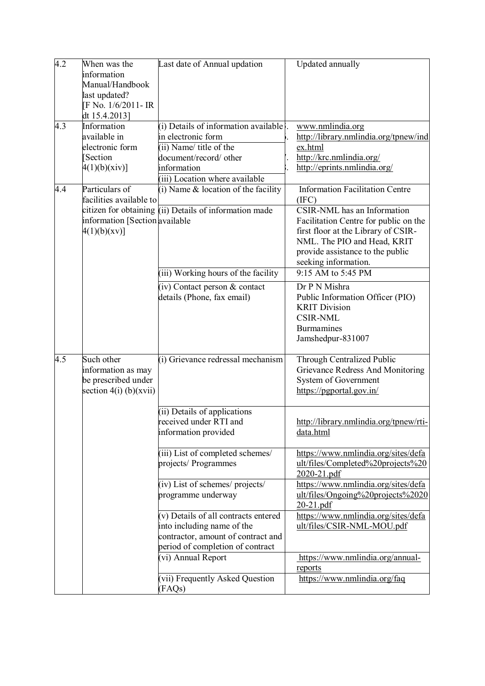| 4.2 | When was the<br>information<br>Manual/Handbook<br>last updated?<br>F No. 1/6/2011- IR | Last date of Annual updation                                                                                                                                     | Updated annually                                                                                                                                                                                       |
|-----|---------------------------------------------------------------------------------------|------------------------------------------------------------------------------------------------------------------------------------------------------------------|--------------------------------------------------------------------------------------------------------------------------------------------------------------------------------------------------------|
|     | dt 15.4.2013]                                                                         |                                                                                                                                                                  |                                                                                                                                                                                                        |
| 4.3 | Information<br>available in<br>electronic form<br>Section<br>4(1)(b)(xiv)             | (i) Details of information available<br>in electronic form<br>(ii) Name/ title of the<br>document/record/ other<br>information<br>(iii) Location where available | www.nmlindia.org<br>http://library.nmlindia.org/tpnew/ind<br>ex.html<br>http://krc.nmlindia.org/<br>http://eprints.nmlindia.org/                                                                       |
| 4.4 | Particulars of<br>facilities available to                                             | $(i)$ Name $\&$ location of the facility                                                                                                                         | <b>Information Facilitation Centre</b><br>(IFC)                                                                                                                                                        |
|     | information [Section available<br>4(1)(b)(xy)                                         | citizen for obtaining $(i)$ Details of information made                                                                                                          | CSIR-NML has an Information<br>Facilitation Centre for public on the<br>first floor at the Library of CSIR-<br>NML. The PIO and Head, KRIT<br>provide assistance to the public<br>seeking information. |
|     |                                                                                       | (iii) Working hours of the facility                                                                                                                              | 9:15 AM to 5:45 PM                                                                                                                                                                                     |
|     |                                                                                       | $(iv)$ Contact person $&$ contact<br>details (Phone, fax email)                                                                                                  | Dr P N Mishra<br>Public Information Officer (PIO)<br><b>KRIT Division</b><br><b>CSIR-NML</b><br><b>Burmamines</b><br>Jamshedpur-831007                                                                 |
| 4.5 | Such other<br>information as may<br>be prescribed under<br>section $4(i)$ (b)(xvii)   | (i) Grievance redressal mechanism                                                                                                                                | Through Centralized Public<br>Grievance Redress And Monitoring<br>System of Government<br>https://pgportal.gov.in/                                                                                     |
|     |                                                                                       | (ii) Details of applications<br>received under RTI and<br>information provided                                                                                   | http://library.nmlindia.org/tpnew/rti-<br>data.html                                                                                                                                                    |
|     |                                                                                       | (iii) List of completed schemes/<br>projects/ Programmes                                                                                                         | https://www.nmlindia.org/sites/defa<br>ult/files/Completed%20projects%20<br>2020-21.pdf                                                                                                                |
|     |                                                                                       | (iv) List of schemes/ projects/<br>programme underway                                                                                                            | https://www.nmlindia.org/sites/defa<br>ult/files/Ongoing%20projects%2020<br>$20-21.pdf$                                                                                                                |
|     |                                                                                       | (v) Details of all contracts entered<br>into including name of the<br>contractor, amount of contract and<br>period of completion of contract                     | https://www.nmlindia.org/sites/defa<br>ult/files/CSIR-NML-MOU.pdf                                                                                                                                      |
|     |                                                                                       | (vi) Annual Report                                                                                                                                               | https://www.nmlindia.org/annual-<br>reports                                                                                                                                                            |
|     |                                                                                       | (vii) Frequently Asked Question<br>(FAQs)                                                                                                                        | https://www.nmlindia.org/faq                                                                                                                                                                           |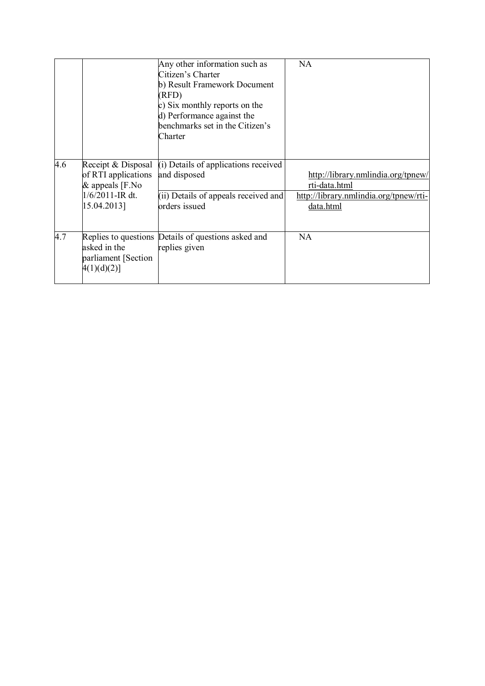|     |                                                                                                     | Any other information such as<br>Citizen's Charter<br>b) Result Framework Document<br>(RFD)<br>c) Six monthly reports on the<br>d) Performance against the<br>benchmarks set in the Citizen's<br>Charter | <b>NA</b>                                                                                                  |
|-----|-----------------------------------------------------------------------------------------------------|----------------------------------------------------------------------------------------------------------------------------------------------------------------------------------------------------------|------------------------------------------------------------------------------------------------------------|
| 4.6 | Receipt & Disposal<br>of RTI applications<br>$&$ appeals [F.No<br>$1/6/2011$ -IR dt.<br>15.04.2013] | (i) Details of applications received<br>and disposed<br>(ii) Details of appeals received and<br>orders issued                                                                                            | http://library.nmlindia.org/tpnew/<br>rti-data.html<br>http://library.nmlindia.org/tpnew/rti-<br>data.html |
| 4.7 | asked in the<br>parliament [Section]<br>4(1)(d)(2)]                                                 | Replies to questions Details of questions asked and<br>replies given                                                                                                                                     | <b>NA</b>                                                                                                  |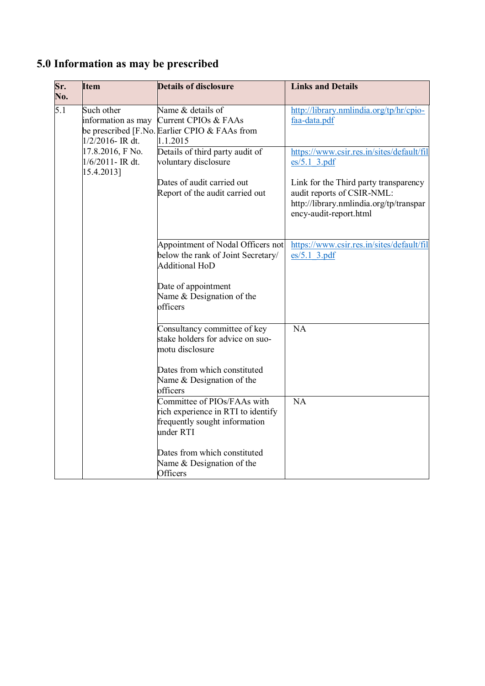# **5.0 Information as may be prescribed**

| Sr.<br>No. | <b>Item</b>                       | <b>Details of disclosure</b>                                            | <b>Links and Details</b>                                          |
|------------|-----------------------------------|-------------------------------------------------------------------------|-------------------------------------------------------------------|
| 5.1        | Such other                        | Name & details of                                                       | http://library.nmlindia.org/tp/hr/cpio-                           |
|            | information as may                | Current CPIOs & FAAs<br>be prescribed [F.No. Earlier CPIO & FAAs from   | faa-data.pdf                                                      |
|            | $1/2/2016$ - IR dt.               | 1.1.2015                                                                |                                                                   |
|            | 17.8.2016, F No.                  | Details of third party audit of                                         | https://www.csir.res.in/sites/default/fil                         |
|            | $1/6/2011$ - IR dt.<br>15.4.2013] | voluntary disclosure                                                    | $es/5.1$ 3.pdf                                                    |
|            |                                   | Dates of audit carried out                                              | Link for the Third party transparency                             |
|            |                                   | Report of the audit carried out                                         | audit reports of CSIR-NML:                                        |
|            |                                   |                                                                         | http://library.nmlindia.org/tp/transpar<br>ency-audit-report.html |
|            |                                   |                                                                         |                                                                   |
|            |                                   | Appointment of Nodal Officers not<br>below the rank of Joint Secretary/ | https://www.csir.res.in/sites/default/fil<br>$es/5.1$ 3.pdf       |
|            |                                   | <b>Additional HoD</b>                                                   |                                                                   |
|            |                                   | Date of appointment                                                     |                                                                   |
|            |                                   | Name & Designation of the                                               |                                                                   |
|            |                                   | officers                                                                |                                                                   |
|            |                                   | Consultancy committee of key                                            | $\overline{NA}$                                                   |
|            |                                   | stake holders for advice on suo-<br>motu disclosure                     |                                                                   |
|            |                                   | Dates from which constituted                                            |                                                                   |
|            |                                   | Name & Designation of the<br>officers                                   |                                                                   |
|            |                                   | Committee of PIOs/FAAs with                                             | NA                                                                |
|            |                                   | rich experience in RTI to identify                                      |                                                                   |
|            |                                   | frequently sought information                                           |                                                                   |
|            |                                   | under RTI                                                               |                                                                   |
|            |                                   | Dates from which constituted                                            |                                                                   |
|            |                                   | Name & Designation of the                                               |                                                                   |
|            |                                   | Officers                                                                |                                                                   |